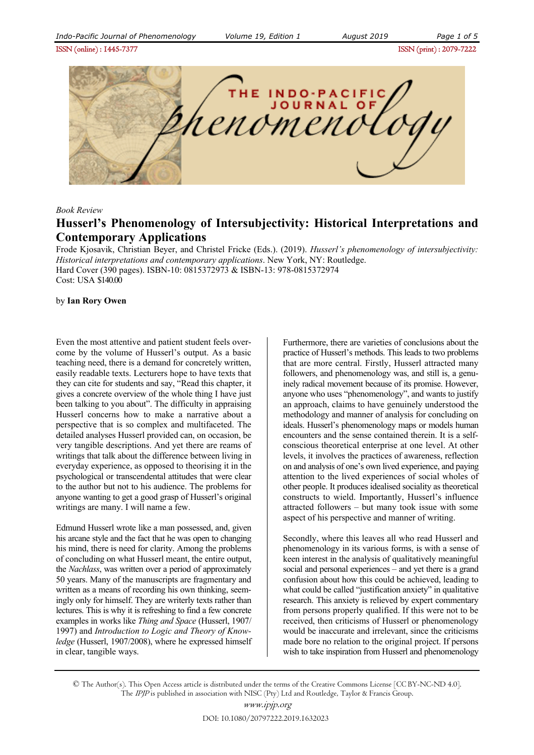ISSN (online) : 1445-7377ISSN (print) : 2079-7222



## *Book Review*

# **Husserl's Phenomenology of Intersubjectivity: Historical Interpretations and Contemporary Applications**

Frode Kjosavik, Christian Beyer, and Christel Fricke (Eds.). (2019). *Husserl's phenomenology of intersubjectivity: Historical interpretations and contemporary applications*. New York, NY: Routledge. Hard Cover (390 pages). ISBN-10: 0815372973 & ISBN-13: 978-0815372974 Cost: USA \$140.00

### by **Ian Rory Owen**

Even the most attentive and patient student feels overcome by the volume of Husserl's output. As a basic teaching need, there is a demand for concretely written, easily readable texts. Lecturers hope to have texts that they can cite for students and say, "Read this chapter, it gives a concrete overview of the whole thing I have just been talking to you about". The difficulty in appraising Husserl concerns how to make a narrative about a perspective that is so complex and multifaceted. The detailed analyses Husserl provided can, on occasion, be very tangible descriptions. And yet there are reams of writings that talk about the difference between living in everyday experience, as opposed to theorising it in the psychological or transcendental attitudes that were clear to the author but not to his audience. The problems for anyone wanting to get a good grasp of Husserl's original writings are many. I will name a few.

Edmund Husserl wrote like a man possessed, and, given his arcane style and the fact that he was open to changing his mind, there is need for clarity. Among the problems of concluding on what Husserl meant, the entire output, the *Nachlass*, was written over a period of approximately 50 years. Many of the manuscripts are fragmentary and written as a means of recording his own thinking, seemingly only for himself. They are writerly texts rather than lectures. This is why it is refreshing to find a few concrete examples in works like *Thing and Space* (Husserl, 1907/ 1997) and *Introduction to Logic and Theory of Knowledge* (Husserl, 1907/2008), where he expressed himself in clear, tangible ways.

Furthermore, there are varieties of conclusions about the practice of Husserl's methods. This leads to two problems that are more central. Firstly, Husserl attracted many followers, and phenomenology was, and still is, a genuinely radical movement because of its promise. However, anyone who uses "phenomenology", and wants to justify an approach, claims to have genuinely understood the methodology and manner of analysis for concluding on ideals. Husserl's phenomenology maps or models human encounters and the sense contained therein. It is a selfconscious theoretical enterprise at one level. At other levels, it involves the practices of awareness, reflection on and analysis of one's own lived experience, and paying attention to the lived experiences of social wholes of other people. It produces idealised sociality as theoretical constructs to wield. Importantly, Husserl's influence attracted followers – but many took issue with some aspect of his perspective and manner of writing.

Secondly, where this leaves all who read Husserl and phenomenology in its various forms, is with a sense of keen interest in the analysis of qualitatively meaningful social and personal experiences – and yet there is a grand confusion about how this could be achieved, leading to what could be called "justification anxiety" in qualitative research. This anxiety is relieved by expert commentary from persons properly qualified. If this were not to be received, then criticisms of Husserl or phenomenology would be inaccurate and irrelevant, since the criticisms made bore no relation to the original project. If persons wish to take inspiration from Husserl and phenomenology

© The Author(s). This Open Access article is distributed under the terms of the Creative Commons License [CC BY-NC-ND 4.0]. The IPJP is published in association with NISC (Pty) Ltd and Routledge, Taylor & Francis Group.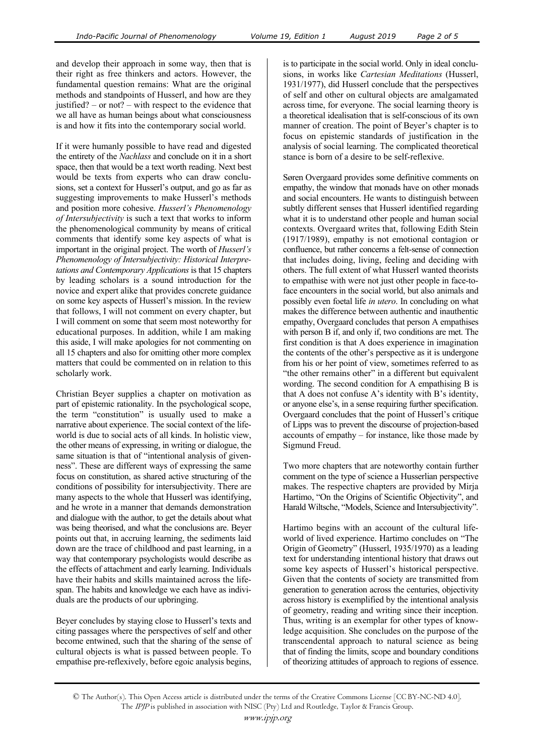and develop their approach in some way, then that is their right as free thinkers and actors. However, the fundamental question remains: What are the original methods and standpoints of Husserl, and how are they justified? – or not? – with respect to the evidence that we all have as human beings about what consciousness is and how it fits into the contemporary social world.

If it were humanly possible to have read and digested the entirety of the *Nachlass* and conclude on it in a short space, then that would be a text worth reading. Next best would be texts from experts who can draw conclusions, set a context for Husserl's output, and go as far as suggesting improvements to make Husserl's methods and position more cohesive. *Husserl's Phenomenology of Intersubjectivity* is such a text that works to inform the phenomenological community by means of critical comments that identify some key aspects of what is important in the original project. The worth of *Husserl's Phenomenology of Intersubjectivity: Historical Interpretations and Contemporary Applications* is that 15 chapters by leading scholars is a sound introduction for the novice and expert alike that provides concrete guidance on some key aspects of Husserl's mission. In the review that follows, I will not comment on every chapter, but I will comment on some that seem most noteworthy for educational purposes. In addition, while I am making this aside, I will make apologies for not commenting on all 15 chapters and also for omitting other more complex matters that could be commented on in relation to this scholarly work.

Christian Beyer supplies a chapter on motivation as part of epistemic rationality. In the psychological scope, the term "constitution" is usually used to make a narrative about experience. The social context of the lifeworld is due to social acts of all kinds. In holistic view, the other means of expressing, in writing or dialogue, the same situation is that of "intentional analysis of givenness". These are different ways of expressing the same focus on constitution, as shared active structuring of the conditions of possibility for intersubjectivity. There are many aspects to the whole that Husserl was identifying, and he wrote in a manner that demands demonstration and dialogue with the author, to get the details about what was being theorised, and what the conclusions are. Beyer points out that, in accruing learning, the sediments laid down are the trace of childhood and past learning, in a way that contemporary psychologists would describe as the effects of attachment and early learning. Individuals have their habits and skills maintained across the lifespan. The habits and knowledge we each have as individuals are the products of our upbringing.

Beyer concludes by staying close to Husserl's texts and citing passages where the perspectives of self and other become entwined, such that the sharing of the sense of cultural objects is what is passed between people. To empathise pre-reflexively, before egoic analysis begins,

is to participate in the social world. Only in ideal conclusions, in works like *Cartesian Meditations* (Husserl, 1931/1977), did Husserl conclude that the perspectives of self and other on cultural objects are amalgamated across time, for everyone. The social learning theory is a theoretical idealisation that is self-conscious of its own manner of creation. The point of Beyer's chapter is to focus on epistemic standards of justification in the analysis of social learning. The complicated theoretical stance is born of a desire to be self-reflexive.

Søren Overgaard provides some definitive comments on empathy, the window that monads have on other monads and social encounters. He wants to distinguish between subtly different senses that Husserl identified regarding what it is to understand other people and human social contexts. Overgaard writes that, following Edith Stein (1917/1989), empathy is not emotional contagion or confluence, but rather concerns a felt-sense of connection that includes doing, living, feeling and deciding with others. The full extent of what Husserl wanted theorists to empathise with were not just other people in face-toface encounters in the social world, but also animals and possibly even foetal life *in utero*. In concluding on what makes the difference between authentic and inauthentic empathy, Overgaard concludes that person A empathises with person B if, and only if, two conditions are met. The first condition is that A does experience in imagination the contents of the other's perspective as it is undergone from his or her point of view, sometimes referred to as "the other remains other" in a different but equivalent wording. The second condition for A empathising B is that A does not confuse A's identity with B's identity, or anyone else's, in a sense requiring further specification. Overgaard concludes that the point of Husserl's critique of Lipps was to prevent the discourse of projection-based accounts of empathy – for instance, like those made by Sigmund Freud.

Two more chapters that are noteworthy contain further comment on the type of science a Husserlian perspective makes. The respective chapters are provided by Mirja Hartimo, "On the Origins of Scientific Objectivity", and Harald Wiltsche, "Models, Science and Intersubjectivity".

Hartimo begins with an account of the cultural lifeworld of lived experience. Hartimo concludes on "The Origin of Geometry" (Husserl, 1935/1970) as a leading text for understanding intentional history that draws out some key aspects of Husserl's historical perspective. Given that the contents of society are transmitted from generation to generation across the centuries, objectivity across history is exemplified by the intentional analysis of geometry, reading and writing since their inception. Thus, writing is an exemplar for other types of knowledge acquisition. She concludes on the purpose of the transcendental approach to natural science as being that of finding the limits, scope and boundary conditions of theorizing attitudes of approach to regions of essence.

<sup>©</sup> The Author(s). This Open Access article is distributed under the terms of the Creative Commons License [CC BY-NC-ND 4.0]. The IPJP is published in association with NISC (Pty) Ltd and Routledge, Taylor & Francis Group.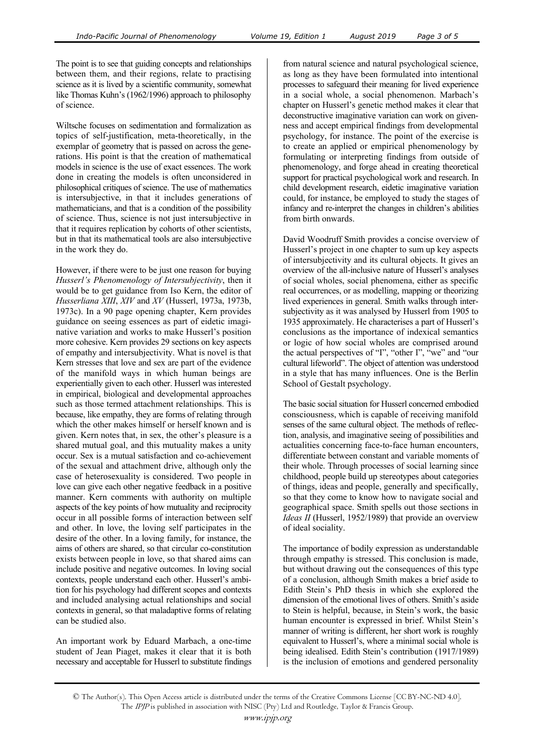The point is to see that guiding concepts and relationships between them, and their regions, relate to practising science as it is lived by a scientific community, somewhat like Thomas Kuhn's (1962/1996) approach to philosophy of science.

Wiltsche focuses on sedimentation and formalization as topics of self-justification, meta-theoretically, in the exemplar of geometry that is passed on across the generations. His point is that the creation of mathematical models in science is the use of exact essences. The work done in creating the models is often unconsidered in philosophical critiques of science. The use of mathematics is intersubjective, in that it includes generations of mathematicians, and that is a condition of the possibility of science. Thus, science is not just intersubjective in that it requires replication by cohorts of other scientists, but in that its mathematical tools are also intersubjective in the work they do.

However, if there were to be just one reason for buying *Husserl's Phenomenology of Intersubjectivity*, then it would be to get guidance from Iso Kern, the editor of *Husserliana XIII*, *XIV* and *XV* (Husserl, 1973a, 1973b, 1973c). In a 90 page opening chapter, Kern provides guidance on seeing essences as part of eidetic imaginative variation and works to make Husserl's position more cohesive. Kern provides 29 sections on key aspects of empathy and intersubjectivity. What is novel is that Kern stresses that love and sex are part of the evidence of the manifold ways in which human beings are experientially given to each other. Husserl was interested in empirical, biological and developmental approaches such as those termed attachment relationships. This is because, like empathy, they are forms of relating through which the other makes himself or herself known and is given. Kern notes that, in sex, the other's pleasure is a shared mutual goal, and this mutuality makes a unity occur. Sex is a mutual satisfaction and co-achievement of the sexual and attachment drive, although only the case of heterosexuality is considered. Two people in love can give each other negative feedback in a positive manner. Kern comments with authority on multiple aspects of the key points of how mutuality and reciprocity occur in all possible forms of interaction between self and other. In love, the loving self participates in the desire of the other. In a loving family, for instance, the aims of others are shared, so that circular co-constitution exists between people in love, so that shared aims can include positive and negative outcomes. In loving social contexts, people understand each other. Husserl's ambition for his psychology had different scopes and contexts and included analysing actual relationships and social contexts in general, so that maladaptive forms of relating can be studied also.

An important work by Eduard Marbach, a one-time student of Jean Piaget, makes it clear that it is both necessary and acceptable for Husserl to substitute findings from natural science and natural psychological science, as long as they have been formulated into intentional processes to safeguard their meaning for lived experience in a social whole, a social phenomenon. Marbach's chapter on Husserl's genetic method makes it clear that deconstructive imaginative variation can work on givenness and accept empirical findings from developmental psychology, for instance. The point of the exercise is to create an applied or empirical phenomenology by formulating or interpreting findings from outside of phenomenology, and forge ahead in creating theoretical support for practical psychological work and research. In child development research, eidetic imaginative variation could, for instance, be employed to study the stages of infancy and re-interpret the changes in children's abilities from birth onwards.

David Woodruff Smith provides a concise overview of Husserl's project in one chapter to sum up key aspects of intersubjectivity and its cultural objects. It gives an overview of the all-inclusive nature of Husserl's analyses of social wholes, social phenomena, either as specific real occurrences, or as modelling, mapping or theorizing lived experiences in general. Smith walks through intersubjectivity as it was analysed by Husserl from 1905 to 1935 approximately. He characterises a part of Husserl's conclusions as the importance of indexical semantics or logic of how social wholes are comprised around the actual perspectives of "I", "other I", "we" and "our cultural lifeworld". The object of attention was understood in a style that has many influences. One is the Berlin School of Gestalt psychology.

The basic social situation for Husserl concerned embodied consciousness, which is capable of receiving manifold senses of the same cultural object. The methods of reflection, analysis, and imaginative seeing of possibilities and actualities concerning face-to-face human encounters, differentiate between constant and variable moments of their whole. Through processes of social learning since childhood, people build up stereotypes about categories of things, ideas and people, generally and specifically, so that they come to know how to navigate social and geographical space. Smith spells out those sections in *Ideas II* (Husserl, 1952/1989) that provide an overview of ideal sociality.

The importance of bodily expression as understandable through empathy is stressed. This conclusion is made, but without drawing out the consequences of this type of a conclusion, although Smith makes a brief aside to Edith Stein's PhD thesis in which she explored the dimension of the emotional lives of others. Smith's aside to Stein is helpful, because, in Stein's work, the basic human encounter is expressed in brief. Whilst Stein's manner of writing is different, her short work is roughly equivalent to Husserl's, where a minimal social whole is being idealised. Edith Stein's contribution (1917/1989) is the inclusion of emotions and gendered personality

<sup>©</sup> The Author(s). This Open Access article is distributed under the terms of the Creative Commons License [CC BY-NC-ND 4.0]. The IPJP is published in association with NISC (Pty) Ltd and Routledge, Taylor & Francis Group.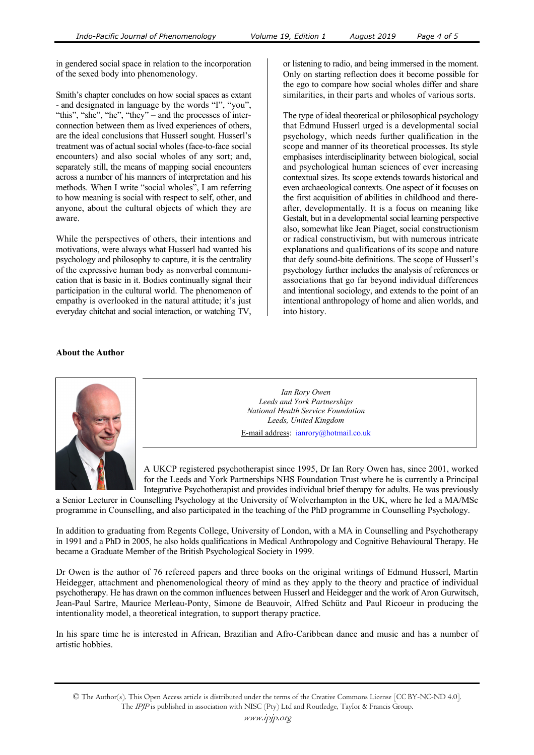in gendered social space in relation to the incorporation of the sexed body into phenomenology.

Smith's chapter concludes on how social spaces as extant - and designated in language by the words "I", "you", "this", "she", "he", "they" – and the processes of interconnection between them as lived experiences of others, are the ideal conclusions that Husserl sought. Husserl's treatment was of actual social wholes (face-to-face social encounters) and also social wholes of any sort; and, separately still, the means of mapping social encounters across a number of his manners of interpretation and his methods. When I write "social wholes", I am referring to how meaning is social with respect to self, other, and anyone, about the cultural objects of which they are aware.

While the perspectives of others, their intentions and motivations, were always what Husserl had wanted his psychology and philosophy to capture, it is the centrality of the expressive human body as nonverbal communication that is basic in it. Bodies continually signal their participation in the cultural world. The phenomenon of empathy is overlooked in the natural attitude; it's just everyday chitchat and social interaction, or watching TV, or listening to radio, and being immersed in the moment. Only on starting reflection does it become possible for the ego to compare how social wholes differ and share similarities, in their parts and wholes of various sorts.

The type of ideal theoretical or philosophical psychology that Edmund Husserl urged is a developmental social psychology, which needs further qualification in the scope and manner of its theoretical processes. Its style emphasises interdisciplinarity between biological, social and psychological human sciences of ever increasing contextual sizes. Its scope extends towards historical and even archaeological contexts. One aspect of it focuses on the first acquisition of abilities in childhood and thereafter, developmentally. It is a focus on meaning like Gestalt, but in a developmental social learning perspective also, somewhat like Jean Piaget, social constructionism or radical constructivism, but with numerous intricate explanations and qualifications of its scope and nature that defy sound-bite definitions. The scope of Husserl's psychology further includes the analysis of references or associations that go far beyond individual differences and intentional sociology, and extends to the point of an intentional anthropology of home and alien worlds, and into history.

# **About the Author**



*Ian Rory Owen Leeds and York Partnerships National Health Service Foundation Leeds, United Kingdom* 

E-mail address: ianrory@hotmail.co.uk

A UKCP registered psychotherapist since 1995, Dr Ian Rory Owen has, since 2001, worked for the Leeds and York Partnerships NHS Foundation Trust where he is currently a Principal Integrative Psychotherapist and provides individual brief therapy for adults. He was previously

a Senior Lecturer in Counselling Psychology at the University of Wolverhampton in the UK, where he led a MA/MSc programme in Counselling, and also participated in the teaching of the PhD programme in Counselling Psychology.

In addition to graduating from Regents College, University of London, with a MA in Counselling and Psychotherapy in 1991 and a PhD in 2005, he also holds qualifications in Medical Anthropology and Cognitive Behavioural Therapy. He became a Graduate Member of the British Psychological Society in 1999.

Dr Owen is the author of 76 refereed papers and three books on the original writings of Edmund Husserl, Martin Heidegger, attachment and phenomenological theory of mind as they apply to the theory and practice of individual psychotherapy. He has drawn on the common influences between Husserl and Heidegger and the work of Aron Gurwitsch, Jean-Paul Sartre, Maurice Merleau-Ponty, Simone de Beauvoir, Alfred Schütz and Paul Ricoeur in producing the intentionality model, a theoretical integration, to support therapy practice.

In his spare time he is interested in African, Brazilian and Afro-Caribbean dance and music and has a number of artistic hobbies.

<sup>©</sup> The Author(s). This Open Access article is distributed under the terms of the Creative Commons License [CC BY-NC-ND 4.0]. The IPJP is published in association with NISC (Pty) Ltd and Routledge, Taylor & Francis Group.